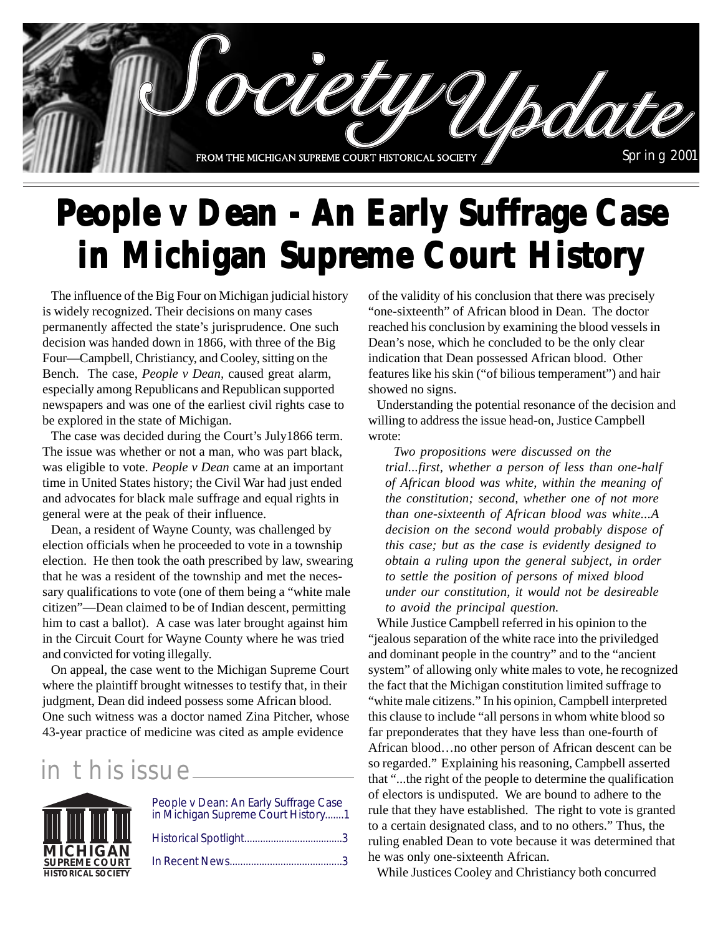

# **People v Dean - An Early Suffrage Case in Michigan Supreme Court History**

The influence of the Big Four on Michigan judicial history is widely recognized. Their decisions on many cases permanently affected the state's jurisprudence. One such decision was handed down in 1866, with three of the Big Four—Campbell, Christiancy, and Cooley, sitting on the Bench. The case, *People v Dean,* caused great alarm, especially among Republicans and Republican supported newspapers and was one of the earliest civil rights case to be explored in the state of Michigan.

The case was decided during the Court's July1866 term. The issue was whether or not a man, who was part black, was eligible to vote. *People v Dean* came at an important time in United States history; the Civil War had just ended and advocates for black male suffrage and equal rights in general were at the peak of their influence.

Dean, a resident of Wayne County, was challenged by election officials when he proceeded to vote in a township election. He then took the oath prescribed by law, swearing that he was a resident of the township and met the necessary qualifications to vote (one of them being a "white male citizen"—Dean claimed to be of Indian descent, permitting him to cast a ballot). A case was later brought against him in the Circuit Court for Wayne County where he was tried and convicted for voting illegally.

On appeal, the case went to the Michigan Supreme Court where the plaintiff brought witnesses to testify that, in their judgment, Dean did indeed possess some African blood. One such witness was a doctor named Zina Pitcher, whose 43-year practice of medicine was cited as ample evidence

### in this issue



| People v Dean: An Early Suffrage Case<br>in Michigan Supreme Court History1 |
|-----------------------------------------------------------------------------|
|                                                                             |
|                                                                             |

of the validity of his conclusion that there was precisely "one-sixteenth" of African blood in Dean. The doctor reached his conclusion by examining the blood vessels in Dean's nose, which he concluded to be the only clear indication that Dean possessed African blood. Other features like his skin ("of bilious temperament") and hair showed no signs.

Understanding the potential resonance of the decision and willing to address the issue head-on, Justice Campbell wrote:

*Two propositions were discussed on the trial...first, whether a person of less than one-half of African blood was white, within the meaning of the constitution; second, whether one of not more than one-sixteenth of African blood was white...A decision on the second would probably dispose of this case; but as the case is evidently designed to obtain a ruling upon the general subject, in order to settle the position of persons of mixed blood under our constitution, it would not be desireable to avoid the principal question.*

While Justice Campbell referred in his opinion to the "jealous separation of the white race into the priviledged and dominant people in the country" and to the "ancient system" of allowing only white males to vote, he recognized the fact that the Michigan constitution limited suffrage to "white male citizens." In his opinion, Campbell interpreted this clause to include "all persons in whom white blood so far preponderates that they have less than one-fourth of African blood…no other person of African descent can be so regarded." Explaining his reasoning, Campbell asserted that "...the right of the people to determine the qualification of electors is undisputed. We are bound to adhere to the rule that they have established. The right to vote is granted to a certain designated class, and to no others." Thus, the ruling enabled Dean to vote because it was determined that he was only one-sixteenth African.

While Justices Cooley and Christiancy both concurred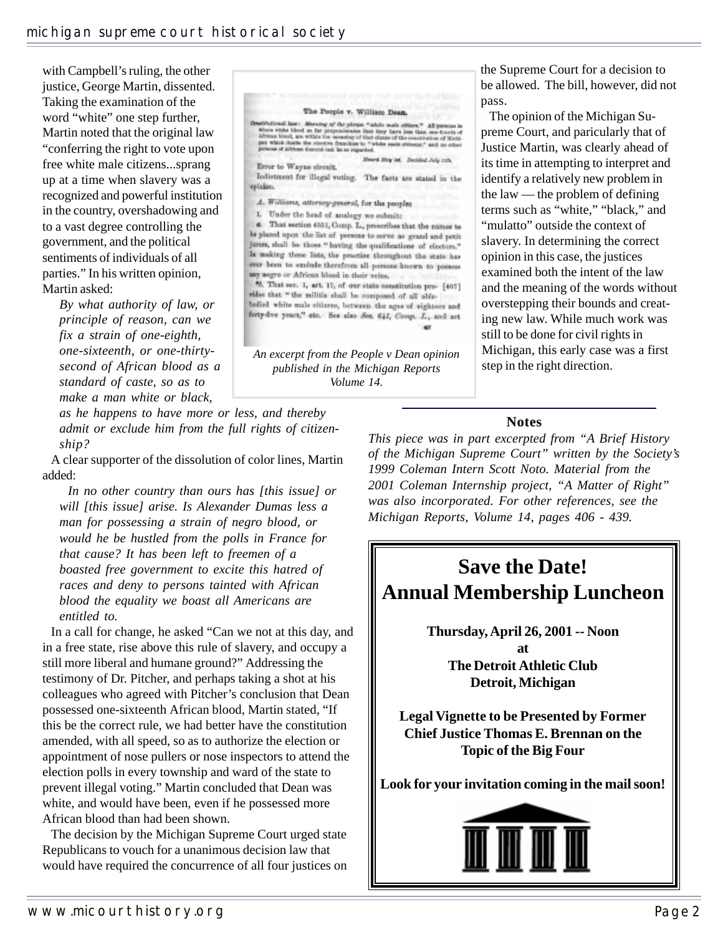with Campbell's ruling, the other justice, George Martin, dissented. Taking the examination of the word "white" one step further, Martin noted that the original law "conferring the right to vote upon free white male citizens...sprang up at a time when slavery was a recognized and powerful institution in the country, overshadowing and to a vast degree controlling the government, and the political sentiments of individuals of all parties." In his written opinion, Martin asked:

*By what authority of law, or principle of reason, can we fix a strain of one-eighth, one-sixteenth, or one-thirtysecond of African blood as a standard of caste, so as to make a man white or black,*

*as he happens to have more or less, and thereby admit or exclude him from the full rights of citizenship?*

A clear supporter of the dissolution of color lines, Martin added:

*In no other country than ours has [this issue] or will [this issue] arise. Is Alexander Dumas less a man for possessing a strain of negro blood, or would he be hustled from the polls in France for that cause? It has been left to freemen of a boasted free government to excite this hatred of races and deny to persons tainted with African blood the equality we boast all Americans are entitled to.*

In a call for change, he asked "Can we not at this day, and in a free state, rise above this rule of slavery, and occupy a still more liberal and humane ground?" Addressing the testimony of Dr. Pitcher, and perhaps taking a shot at his colleagues who agreed with Pitcher's conclusion that Dean possessed one-sixteenth African blood, Martin stated, "If this be the correct rule, we had better have the constitution amended, with all speed, so as to authorize the election or appointment of nose pullers or nose inspectors to attend the election polls in every township and ward of the state to prevent illegal voting." Martin concluded that Dean was white, and would have been, even if he possessed more African blood than had been shown.

The decision by the Michigan Supreme Court urged state Republicans to vouch for a unanimous decision law that would have required the concurrence of all four justices on

The People v. William Dean. arithetional lase. Aforeing  $\eta f$  the plema "addre made of<br>Hern," All persons is what while blood so far proponderates that they have less than one bursts of African blood, are within the measure of that datase of the con Heard May Ist. Beckled July 213. Error to Wayne circuit. Indictment for illegal voting. The facts are stated in the epision. A. Williams, attorney-general, for the people: 1. Under the head of analogy we submit: 6. That section 4351, Comp. L., prescribes that the names to be placed upon the list of persons to serve as grand and petit jurers, shall be those." having the qualifications of electors." In making these lists, the practice throughout the state has ever been to exclude therefrom all persons known to possess any negro or African blood in their veine. \*6. That sec. 1, art. 17, of our state constitution pro- [407] vides that "the militia shall be composed of all ablebodied white male citizens, between the ages of eighteen and forty-five years," etc. See also Sec. 641, Coop. L., and act **AR** *An excerpt from the People v Dean opinion published in the Michigan Reports Volume 14.*

the Supreme Court for a decision to be allowed. The bill, however, did not pass.

The opinion of the Michigan Supreme Court, and paricularly that of Justice Martin, was clearly ahead of its time in attempting to interpret and identify a relatively new problem in the law — the problem of defining terms such as "white," "black," and "mulatto" outside the context of slavery. In determining the correct opinion in this case, the justices examined both the intent of the law and the meaning of the words without overstepping their bounds and creating new law. While much work was still to be done for civil rights in Michigan, this early case was a first step in the right direction.

#### **Notes**

*This piece was in part excerpted from "A Brief History of the Michigan Supreme Court" written by the Society's 1999 Coleman Intern Scott Noto. Material from the 2001 Coleman Internship project, "A Matter of Right" was also incorporated. For other references, see the Michigan Reports, Volume 14, pages 406 - 439.*

# **Save the Date! Annual Membership Luncheon**

**Thursday, April 26, 2001 -- Noon at The Detroit Athletic Club Detroit, Michigan**

**Legal Vignette to be Presented by Former Chief Justice Thomas E. Brennan on the Topic of the Big Four**

**Look for your invitation coming in the mail soon!**

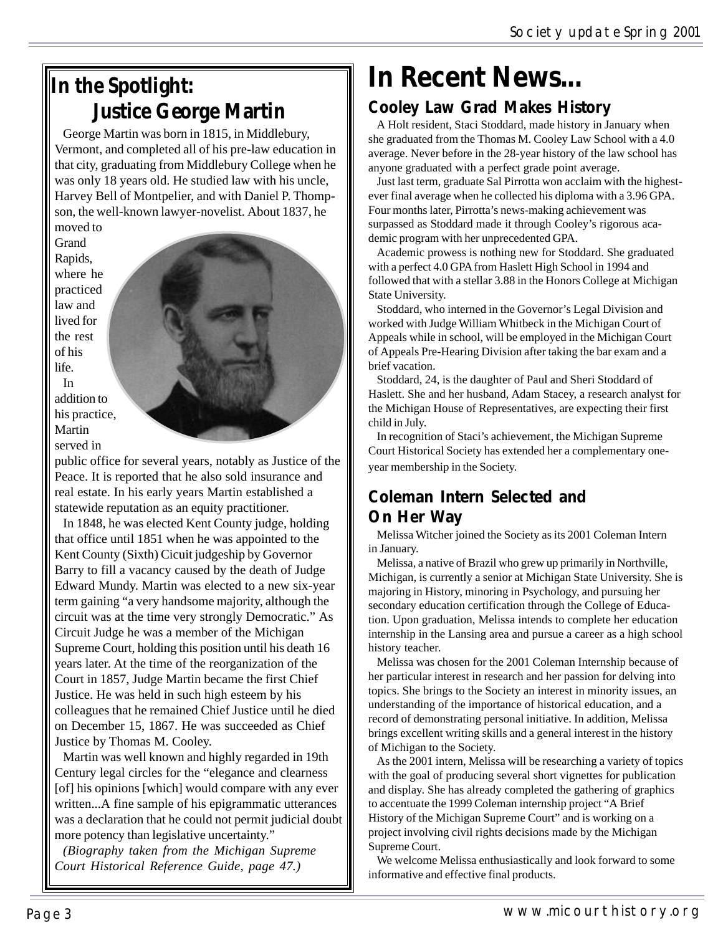## **In the Spotlight: Justice George Martin**

George Martin was born in 1815, in Middlebury, Vermont, and completed all of his pre-law education in that city, graduating from Middlebury College when he was only 18 years old. He studied law with his uncle, Harvey Bell of Montpelier, and with Daniel P. Thompson, the well-known lawyer-novelist. About 1837, he

moved to Grand Rapids, where he practiced law and lived for the rest of his life. In addition to his practice, Martin served in

public office for several years, notably as Justice of the Peace. It is reported that he also sold insurance and real estate. In his early years Martin established a statewide reputation as an equity practitioner.

In 1848, he was elected Kent County judge, holding that office until 1851 when he was appointed to the Kent County (Sixth) Cicuit judgeship by Governor Barry to fill a vacancy caused by the death of Judge Edward Mundy. Martin was elected to a new six-year term gaining "a very handsome majority, although the circuit was at the time very strongly Democratic." As Circuit Judge he was a member of the Michigan Supreme Court, holding this position until his death 16 years later. At the time of the reorganization of the Court in 1857, Judge Martin became the first Chief Justice. He was held in such high esteem by his colleagues that he remained Chief Justice until he died on December 15, 1867. He was succeeded as Chief Justice by Thomas M. Cooley.

Martin was well known and highly regarded in 19th Century legal circles for the "elegance and clearness [of] his opinions [which] would compare with any ever written...A fine sample of his epigrammatic utterances was a declaration that he could not permit judicial doubt more potency than legislative uncertainty."

*(Biography taken from the Michigan Supreme Court Historical Reference Guide, page 47.)*

# **In Recent News...**

### **Cooley Law Grad Makes History**

A Holt resident, Staci Stoddard, made history in January when she graduated from the Thomas M. Cooley Law School with a 4.0 average. Never before in the 28-year history of the law school has anyone graduated with a perfect grade point average.

Just last term, graduate Sal Pirrotta won acclaim with the highestever final average when he collected his diploma with a 3.96 GPA. Four months later, Pirrotta's news-making achievement was surpassed as Stoddard made it through Cooley's rigorous academic program with her unprecedented GPA.

Academic prowess is nothing new for Stoddard. She graduated with a perfect 4.0 GPA from Haslett High School in 1994 and followed that with a stellar 3.88 in the Honors College at Michigan State University.

Stoddard, who interned in the Governor's Legal Division and worked with Judge William Whitbeck in the Michigan Court of Appeals while in school, will be employed in the Michigan Court of Appeals Pre-Hearing Division after taking the bar exam and a brief vacation.

Stoddard, 24, is the daughter of Paul and Sheri Stoddard of Haslett. She and her husband, Adam Stacey, a research analyst for the Michigan House of Representatives, are expecting their first child in July.

In recognition of Staci's achievement, the Michigan Supreme Court Historical Society has extended her a complementary oneyear membership in the Society.

### **Coleman Intern Selected and On Her Way**

Melissa Witcher joined the Society as its 2001 Coleman Intern in January.

Melissa, a native of Brazil who grew up primarily in Northville, Michigan, is currently a senior at Michigan State University. She is majoring in History, minoring in Psychology, and pursuing her secondary education certification through the College of Education. Upon graduation, Melissa intends to complete her education internship in the Lansing area and pursue a career as a high school history teacher.

Melissa was chosen for the 2001 Coleman Internship because of her particular interest in research and her passion for delving into topics. She brings to the Society an interest in minority issues, an understanding of the importance of historical education, and a record of demonstrating personal initiative. In addition, Melissa brings excellent writing skills and a general interest in the history of Michigan to the Society.

As the 2001 intern, Melissa will be researching a variety of topics with the goal of producing several short vignettes for publication and display. She has already completed the gathering of graphics to accentuate the 1999 Coleman internship project "A Brief History of the Michigan Supreme Court" and is working on a project involving civil rights decisions made by the Michigan Supreme Court.

We welcome Melissa enthusiastically and look forward to some informative and effective final products.